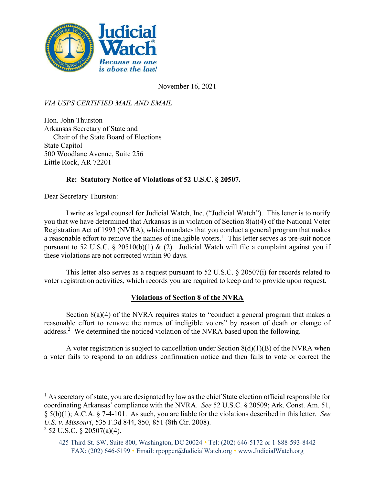

November 16, 2021

VIA USPS CERTIFIED MAIL AND EMAIL

Hon. John Thurston Arkansas Secretary of State and Chair of the State Board of Elections State Capitol 500 Woodlane Avenue, Suite 256 Little Rock, AR 72201

## Re: Statutory Notice of Violations of 52 U.S.C. § 20507.

Dear Secretary Thurston:

I write as legal counsel for Judicial Watch, Inc. ("Judicial Watch"). This letter is to notify you that we have determined that Arkansas is in violation of Section 8(a)(4) of the National Voter Registration Act of 1993 (NVRA), which mandates that you conduct a general program that makes a reasonable effort to remove the names of ineligible voters.<sup>1</sup> This letter serves as pre-suit notice pursuant to 52 U.S.C. § 20510(b)(1) & (2). Judicial Watch will file a complaint against you if these violations are not corrected within 90 days.

This letter also serves as a request pursuant to 52 U.S.C. § 20507(i) for records related to voter registration activities, which records you are required to keep and to provide upon request.

## Violations of Section 8 of the NVRA

Section 8(a)(4) of the NVRA requires states to "conduct a general program that makes a reasonable effort to remove the names of ineligible voters" by reason of death or change of address.<sup>2</sup> We determined the noticed violation of the NVRA based upon the following.

A voter registration is subject to cancellation under Section  $8(d)(1)(B)$  of the NVRA when a voter fails to respond to an address confirmation notice and then fails to vote or correct the

 $<sup>1</sup>$  As secretary of state, you are designated by law as the chief State election official responsible for</sup> coordinating Arkansas' compliance with the NVRA. See 52 U.S.C. § 20509; Ark. Const. Am. 51, § 5(b)(1); A.C.A. § 7-4-101. As such, you are liable for the violations described in this letter. See U.S. v. Missouri, 535 F.3d 844, 850, 851 (8th Cir. 2008).

 $2$  52 U.S.C. § 20507(a)(4).

<sup>425</sup> Third St. SW, Suite 800, Washington, DC 20024 • Tel: (202) 646-5172 or 1-888-593-8442 FAX: (202) 646-5199 • Email: rpopper@JudicialWatch.org • www.JudicialWatch.org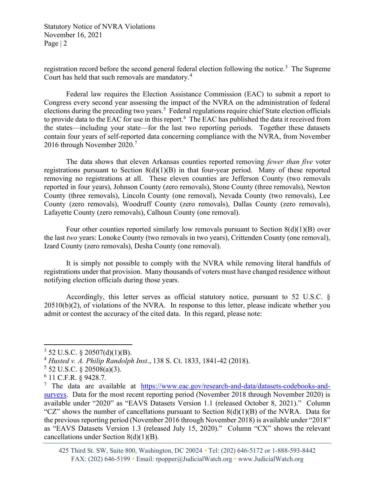Statutory Notice of NVRA Violations November 16, 2021 Page | 2

registration record before the second general federal election following the notice.<sup>3</sup> The Supreme Court has held that such removals are mandatory.<sup>4</sup>

Federal law requires the Election Assistance Commission (EAC) to submit a report to Congress every second year assessing the impact of the NVRA on the administration of federal elections during the preceding two years.<sup>5</sup> Federal regulations require chief State election officials to provide data to the EAC for use in this report.  $6$  The EAC has published the data it received from the states—including your state—for the last two reporting periods. Together these datasets contain four years of self-reported data concerning compliance with the NVRA, from November 2016 through November 2020.<sup>7</sup>

The data shows that eleven Arkansas counties reported removing *fewer than five* voter registrations pursuant to Section  $8(d)(1)(B)$  in that four-year period. Many of these reported removing no registrations at all. These eleven counties are Jefferson County (two removals reported in four years), Johnson County (zero removals), Stone County (three removals), Newton County (three removals), Lincoln County (one removal), Nevada County (two removals), Lee County (zero removals), Woodruff County (zero removals), Dallas County (zero removals), Lafayette County (zero removals), Calhoun County (one removal).

Four other counties reported similarly low removals pursuant to Section  $8(d)(1)(B)$  over the last two years: Lonoke County (two removals in two years), Crittenden County (one removal), Izard County (zero removals), Desha County (one removal).

It is simply not possible to comply with the NVRA while removing literal handfuls of registrations under that provision. Many thousands of voters must have changed residence without notifying election officials during those years.

Accordingly, this letter serves as official statutory notice, pursuant to 52 U.S.C. § 20510(b)(2), of violations of the NVRA. In response to this letter, please indicate whether you admit or contest the accuracy of the cited data. In this regard, please note:

 $3$  52 U.S.C. § 20507(d)(1)(B).

<sup>4</sup> Husted v. A. Philip Randolph Inst., 138 S. Ct. 1833, 1841-42 (2018).

 $5$  52 U.S.C. § 20508(a)(3).

<sup>6</sup> 11 C.F.R. § 9428.7.

<sup>&</sup>lt;sup>7</sup> The data are available at https://www.eac.gov/research-and-data/datasets-codebooks-andsurveys. Data for the most recent reporting period (November 2018 through November 2020) is available under "2020" as "EAVS Datasets Version 1.1 (released October 8, 2021)." Column "CZ" shows the number of cancellations pursuant to Section  $8(d)(1)(B)$  of the NVRA. Data for the previous reporting period (November 2016 through November 2018) is available under "2018" as "EAVS Datasets Version 1.3 (released July 15, 2020)." Column "CX" shows the relevant cancellations under Section 8(d)(1)(B).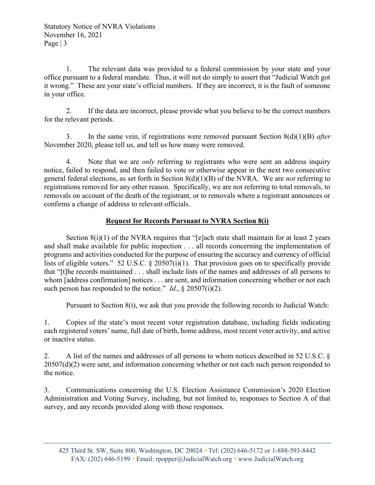1. The relevant data was provided to a federal commission by your state and your office pursuant to a federal mandate. Thus, it will not do simply to assert that "Judicial Watch got it wrong." These are your state's official numbers. If they are incorrect, it is the fault of someone in your office.

2. If the data are incorrect, please provide what you believe to be the correct numbers for the relevant periods.

3. In the same vein, if registrations were removed pursuant Section  $8(d)(1)(B)$  after November 2020, please tell us, and tell us how many were removed.

4. Note that we are *only* referring to registrants who were sent an address inquiry notice, failed to respond, and then failed to vote or otherwise appear in the next two consecutive general federal elections, as set forth in Section  $8(d)(1)(B)$  of the NVRA. We are *not* referring to registrations removed for any other reason. Specifically, we are not referring to total removals, to removals on account of the death of the registrant, or to removals where a registrant announces or confirms a change of address to relevant officials.

## Request for Records Pursuant to NVRA Section 8(i)

Section  $8(i)(1)$  of the NVRA requires that "[e]ach state shall maintain for at least 2 years and shall make available for public inspection . . . all records concerning the implementation of programs and activities conducted for the purpose of ensuring the accuracy and currency of official lists of eligible voters." 52 U.S.C. § 20507(i)(1). That provision goes on to specifically provide that "[t]he records maintained . . . shall include lists of the names and addresses of all persons to whom [address confirmation] notices . . . are sent, and information concerning whether or not each such person has responded to the notice." Id.,  $\S 20507(i)(2)$ .

Pursuant to Section 8(i), we ask that you provide the following records to Judicial Watch:

1. Copies of the state's most recent voter registration database, including fields indicating each registered voters' name, full date of birth, home address, most recent voter activity, and active or inactive status.

2. A list of the names and addresses of all persons to whom notices described in 52 U.S.C. § 20507(d)(2) were sent, and information concerning whether or not each such person responded to the notice.

3. Communications concerning the U.S. Election Assistance Commission's 2020 Election Administration and Voting Survey, including, but not limited to, responses to Section A of that survey, and any records provided along with those responses.